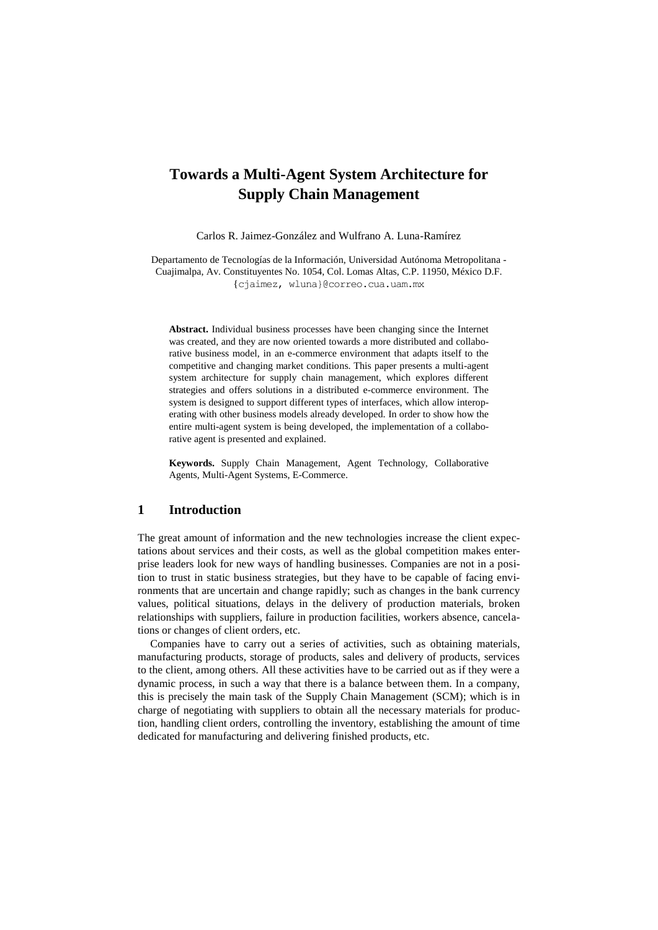# **Towards a Multi-Agent System Architecture for Supply Chain Management**

Carlos R. Jaimez-González and Wulfrano A. Luna-Ramírez

Departamento de Tecnologías de la Información, Universidad Autónoma Metropolitana - Cuajimalpa, Av. Constituyentes No. 1054, Col. Lomas Altas, C.P. 11950, México D.F. {[cjaimez, wluna}@correo.cua.uam.mx](mailto:cjaimez,%20wluna%7D@correo.cua.uam.mx)

**Abstract.** Individual business processes have been changing since the Internet was created, and they are now oriented towards a more distributed and collaborative business model, in an e-commerce environment that adapts itself to the competitive and changing market conditions. This paper presents a multi-agent system architecture for supply chain management, which explores different strategies and offers solutions in a distributed e-commerce environment. The system is designed to support different types of interfaces, which allow interoperating with other business models already developed. In order to show how the entire multi-agent system is being developed, the implementation of a collaborative agent is presented and explained.

**Keywords.** Supply Chain Management, Agent Technology, Collaborative Agents, Multi-Agent Systems, E-Commerce.

## **1 Introduction**

The great amount of information and the new technologies increase the client expectations about services and their costs, as well as the global competition makes enterprise leaders look for new ways of handling businesses. Companies are not in a position to trust in static business strategies, but they have to be capable of facing environments that are uncertain and change rapidly; such as changes in the bank currency values, political situations, delays in the delivery of production materials, broken relationships with suppliers, failure in production facilities, workers absence, cancelations or changes of client orders, etc.

Companies have to carry out a series of activities, such as obtaining materials, manufacturing products, storage of products, sales and delivery of products, services to the client, among others. All these activities have to be carried out as if they were a dynamic process, in such a way that there is a balance between them. In a company, this is precisely the main task of the Supply Chain Management (SCM); which is in charge of negotiating with suppliers to obtain all the necessary materials for production, handling client orders, controlling the inventory, establishing the amount of time dedicated for manufacturing and delivering finished products, etc.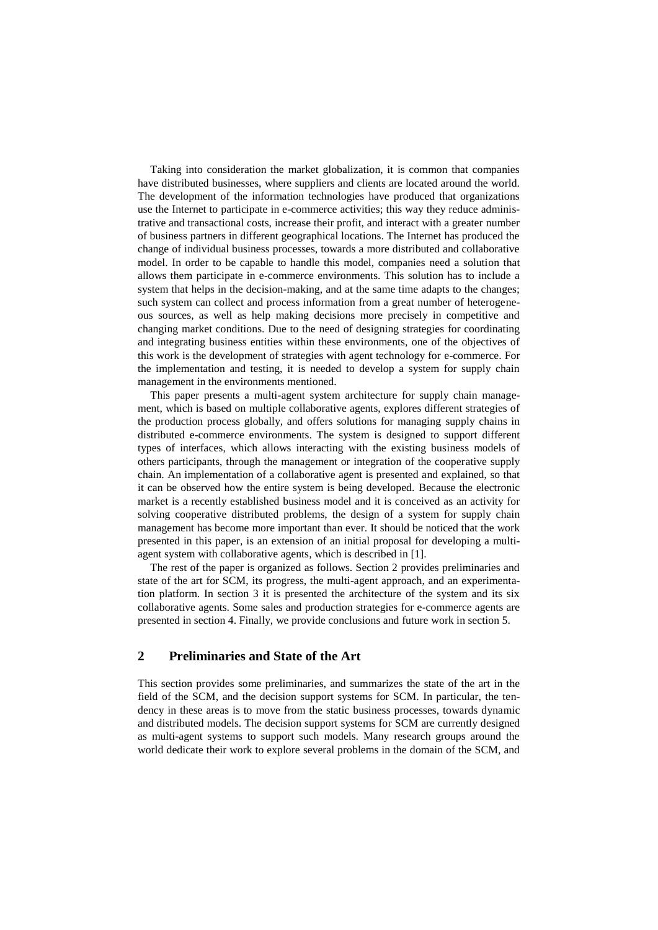Taking into consideration the market globalization, it is common that companies have distributed businesses, where suppliers and clients are located around the world. The development of the information technologies have produced that organizations use the Internet to participate in e-commerce activities; this way they reduce administrative and transactional costs, increase their profit, and interact with a greater number of business partners in different geographical locations. The Internet has produced the change of individual business processes, towards a more distributed and collaborative model. In order to be capable to handle this model, companies need a solution that allows them participate in e-commerce environments. This solution has to include a system that helps in the decision-making, and at the same time adapts to the changes; such system can collect and process information from a great number of heterogeneous sources, as well as help making decisions more precisely in competitive and changing market conditions. Due to the need of designing strategies for coordinating and integrating business entities within these environments, one of the objectives of this work is the development of strategies with agent technology for e-commerce. For the implementation and testing, it is needed to develop a system for supply chain management in the environments mentioned.

This paper presents a multi-agent system architecture for supply chain management, which is based on multiple collaborative agents, explores different strategies of the production process globally, and offers solutions for managing supply chains in distributed e-commerce environments. The system is designed to support different types of interfaces, which allows interacting with the existing business models of others participants, through the management or integration of the cooperative supply chain. An implementation of a collaborative agent is presented and explained, so that it can be observed how the entire system is being developed. Because the electronic market is a recently established business model and it is conceived as an activity for solving cooperative distributed problems, the design of a system for supply chain management has become more important than ever. It should be noticed that the work presented in this paper, is an extension of an initial proposal for developing a multiagent system with collaborative agents, which is described in [1].

The rest of the paper is organized as follows. Section 2 provides preliminaries and state of the art for SCM, its progress, the multi-agent approach, and an experimentation platform. In section 3 it is presented the architecture of the system and its six collaborative agents. Some sales and production strategies for e-commerce agents are presented in section 4. Finally, we provide conclusions and future work in section 5.

## **2 Preliminaries and State of the Art**

This section provides some preliminaries, and summarizes the state of the art in the field of the SCM, and the decision support systems for SCM. In particular, the tendency in these areas is to move from the static business processes, towards dynamic and distributed models. The decision support systems for SCM are currently designed as multi-agent systems to support such models. Many research groups around the world dedicate their work to explore several problems in the domain of the SCM, and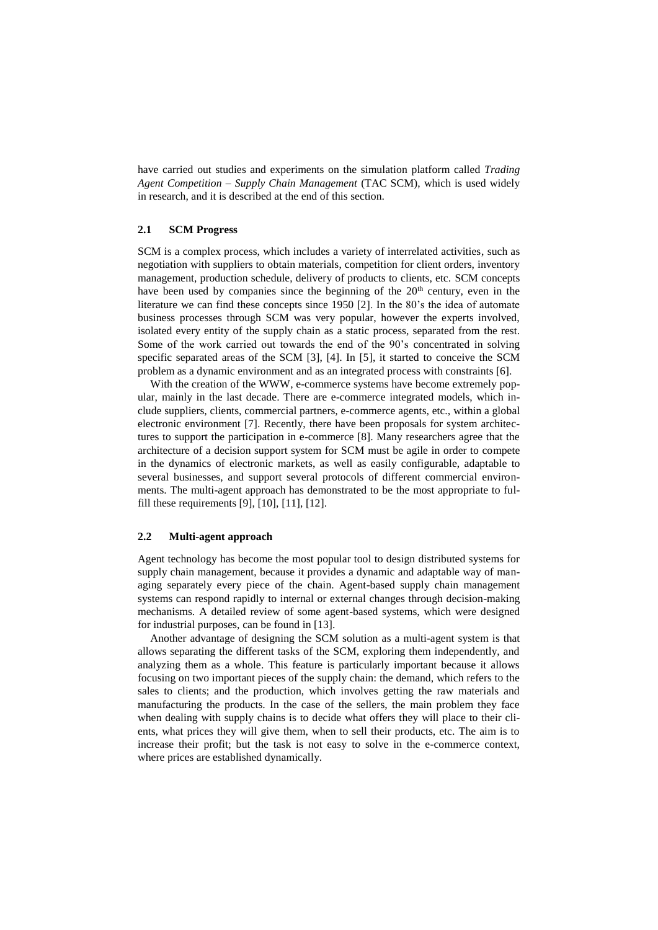have carried out studies and experiments on the simulation platform called *Trading Agent Competition – Supply Chain Management* (TAC SCM), which is used widely in research, and it is described at the end of this section.

## **2.1 SCM Progress**

SCM is a complex process, which includes a variety of interrelated activities, such as negotiation with suppliers to obtain materials, competition for client orders, inventory management, production schedule, delivery of products to clients, etc. SCM concepts have been used by companies since the beginning of the  $20<sup>th</sup>$  century, even in the literature we can find these concepts since 1950 [2]. In the 80's the idea of automate business processes through SCM was very popular, however the experts involved, isolated every entity of the supply chain as a static process, separated from the rest. Some of the work carried out towards the end of the 90's concentrated in solving specific separated areas of the SCM [3], [4]. In [5], it started to conceive the SCM problem as a dynamic environment and as an integrated process with constraints [6].

With the creation of the WWW, e-commerce systems have become extremely popular, mainly in the last decade. There are e-commerce integrated models, which include suppliers, clients, commercial partners, e-commerce agents, etc., within a global electronic environment [7]. Recently, there have been proposals for system architectures to support the participation in e-commerce [8]. Many researchers agree that the architecture of a decision support system for SCM must be agile in order to compete in the dynamics of electronic markets, as well as easily configurable, adaptable to several businesses, and support several protocols of different commercial environments. The multi-agent approach has demonstrated to be the most appropriate to fulfill these requirements [9], [10], [11], [12].

#### **2.2 Multi-agent approach**

Agent technology has become the most popular tool to design distributed systems for supply chain management, because it provides a dynamic and adaptable way of managing separately every piece of the chain. Agent-based supply chain management systems can respond rapidly to internal or external changes through decision-making mechanisms. A detailed review of some agent-based systems, which were designed for industrial purposes, can be found in [13].

Another advantage of designing the SCM solution as a multi-agent system is that allows separating the different tasks of the SCM, exploring them independently, and analyzing them as a whole. This feature is particularly important because it allows focusing on two important pieces of the supply chain: the demand, which refers to the sales to clients; and the production, which involves getting the raw materials and manufacturing the products. In the case of the sellers, the main problem they face when dealing with supply chains is to decide what offers they will place to their clients, what prices they will give them, when to sell their products, etc. The aim is to increase their profit; but the task is not easy to solve in the e-commerce context, where prices are established dynamically.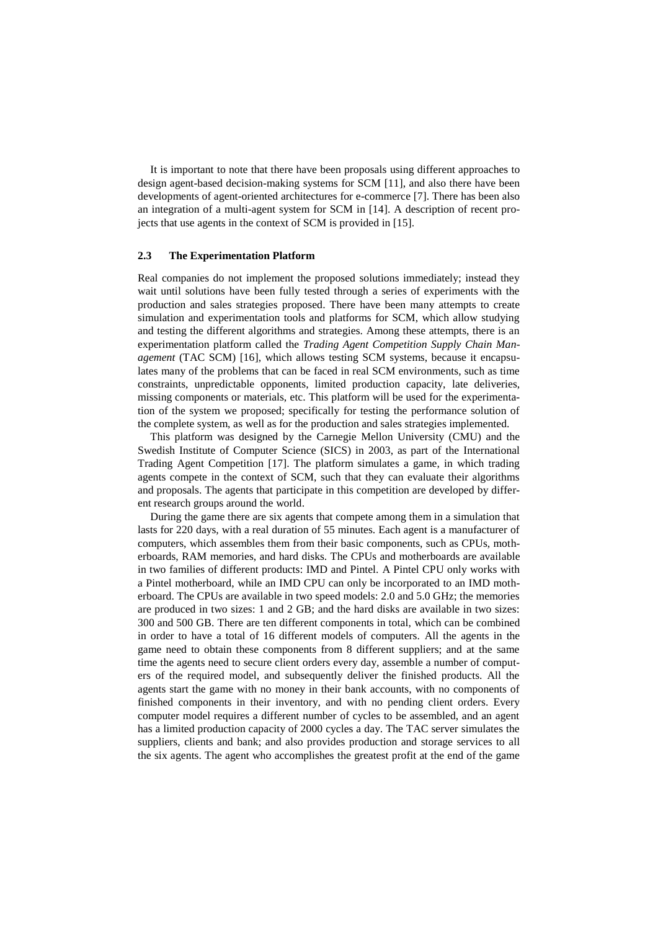It is important to note that there have been proposals using different approaches to design agent-based decision-making systems for SCM [11], and also there have been developments of agent-oriented architectures for e-commerce [7]. There has been also an integration of a multi-agent system for SCM in [14]. A description of recent projects that use agents in the context of SCM is provided in [15].

#### **2.3 The Experimentation Platform**

Real companies do not implement the proposed solutions immediately; instead they wait until solutions have been fully tested through a series of experiments with the production and sales strategies proposed. There have been many attempts to create simulation and experimentation tools and platforms for SCM, which allow studying and testing the different algorithms and strategies. Among these attempts, there is an experimentation platform called the *Trading Agent Competition Supply Chain Management* (TAC SCM) [16], which allows testing SCM systems, because it encapsulates many of the problems that can be faced in real SCM environments, such as time constraints, unpredictable opponents, limited production capacity, late deliveries, missing components or materials, etc. This platform will be used for the experimentation of the system we proposed; specifically for testing the performance solution of the complete system, as well as for the production and sales strategies implemented.

This platform was designed by the Carnegie Mellon University (CMU) and the Swedish Institute of Computer Science (SICS) in 2003, as part of the International Trading Agent Competition [17]. The platform simulates a game, in which trading agents compete in the context of SCM, such that they can evaluate their algorithms and proposals. The agents that participate in this competition are developed by different research groups around the world.

During the game there are six agents that compete among them in a simulation that lasts for 220 days, with a real duration of 55 minutes. Each agent is a manufacturer of computers, which assembles them from their basic components, such as CPUs, motherboards, RAM memories, and hard disks. The CPUs and motherboards are available in two families of different products: IMD and Pintel. A Pintel CPU only works with a Pintel motherboard, while an IMD CPU can only be incorporated to an IMD motherboard. The CPUs are available in two speed models: 2.0 and 5.0 GHz; the memories are produced in two sizes: 1 and 2 GB; and the hard disks are available in two sizes: 300 and 500 GB. There are ten different components in total, which can be combined in order to have a total of 16 different models of computers. All the agents in the game need to obtain these components from 8 different suppliers; and at the same time the agents need to secure client orders every day, assemble a number of computers of the required model, and subsequently deliver the finished products. All the agents start the game with no money in their bank accounts, with no components of finished components in their inventory, and with no pending client orders. Every computer model requires a different number of cycles to be assembled, and an agent has a limited production capacity of 2000 cycles a day. The TAC server simulates the suppliers, clients and bank; and also provides production and storage services to all the six agents. The agent who accomplishes the greatest profit at the end of the game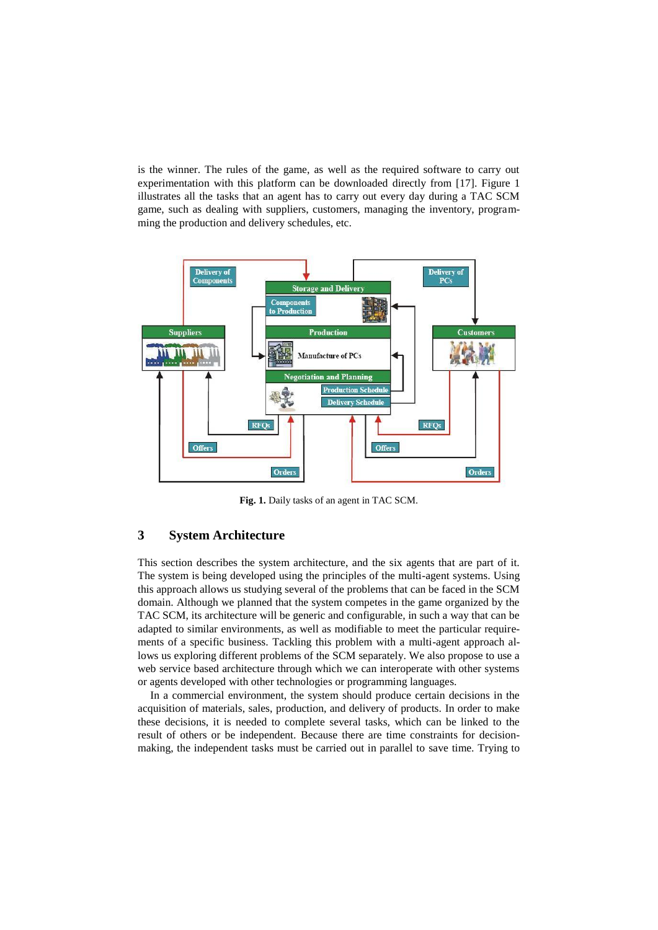is the winner. The rules of the game, as well as the required software to carry out experimentation with this platform can be downloaded directly from [17]. Figure 1 illustrates all the tasks that an agent has to carry out every day during a TAC SCM game, such as dealing with suppliers, customers, managing the inventory, programming the production and delivery schedules, etc.



**Fig. 1.** Daily tasks of an agent in TAC SCM.

# **3 System Architecture**

This section describes the system architecture, and the six agents that are part of it. The system is being developed using the principles of the multi-agent systems. Using this approach allows us studying several of the problems that can be faced in the SCM domain. Although we planned that the system competes in the game organized by the TAC SCM, its architecture will be generic and configurable, in such a way that can be adapted to similar environments, as well as modifiable to meet the particular requirements of a specific business. Tackling this problem with a multi-agent approach allows us exploring different problems of the SCM separately. We also propose to use a web service based architecture through which we can interoperate with other systems or agents developed with other technologies or programming languages.

In a commercial environment, the system should produce certain decisions in the acquisition of materials, sales, production, and delivery of products. In order to make these decisions, it is needed to complete several tasks, which can be linked to the result of others or be independent. Because there are time constraints for decisionmaking, the independent tasks must be carried out in parallel to save time. Trying to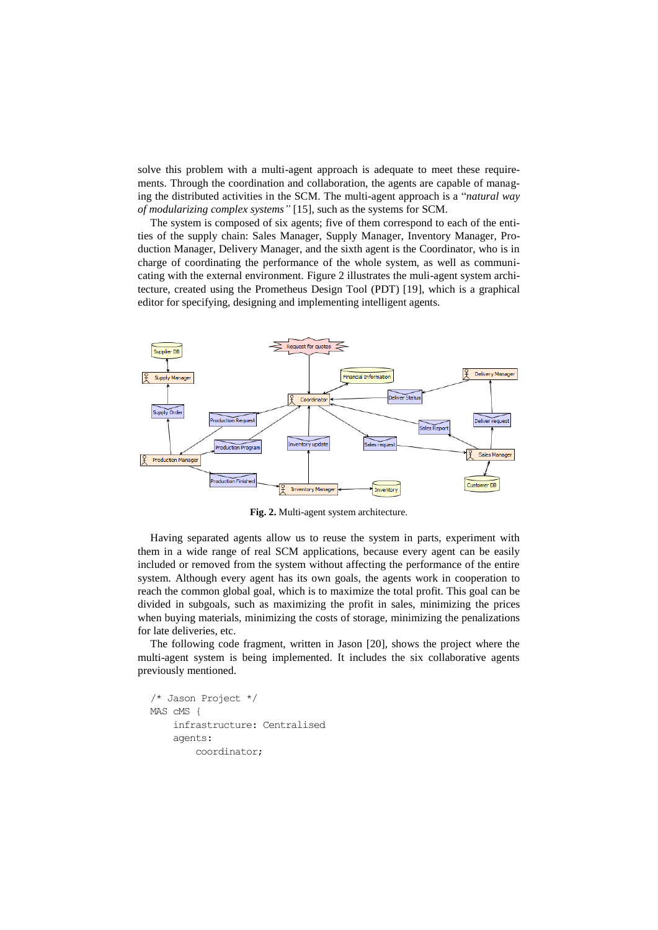solve this problem with a multi-agent approach is adequate to meet these requirements. Through the coordination and collaboration, the agents are capable of managing the distributed activities in the SCM. The multi-agent approach is a "*natural way of modularizing complex systems"* [15], such as the systems for SCM.

The system is composed of six agents; five of them correspond to each of the entities of the supply chain: Sales Manager, Supply Manager, Inventory Manager, Production Manager, Delivery Manager, and the sixth agent is the Coordinator, who is in charge of coordinating the performance of the whole system, as well as communicating with the external environment. Figure 2 illustrates the muli-agent system architecture, created using the Prometheus Design Tool (PDT) [19], which is a graphical editor for specifying, designing and implementing intelligent agents.



**Fig. 2.** Multi-agent system architecture.

Having separated agents allow us to reuse the system in parts, experiment with them in a wide range of real SCM applications, because every agent can be easily included or removed from the system without affecting the performance of the entire system. Although every agent has its own goals, the agents work in cooperation to reach the common global goal, which is to maximize the total profit. This goal can be divided in subgoals, such as maximizing the profit in sales, minimizing the prices when buying materials, minimizing the costs of storage, minimizing the penalizations for late deliveries, etc.

The following code fragment, written in Jason [20], shows the project where the multi-agent system is being implemented. It includes the six collaborative agents previously mentioned.

```
/* Jason Project */
MAS cMS {
     infrastructure: Centralised
     agents:
         coordinator;
```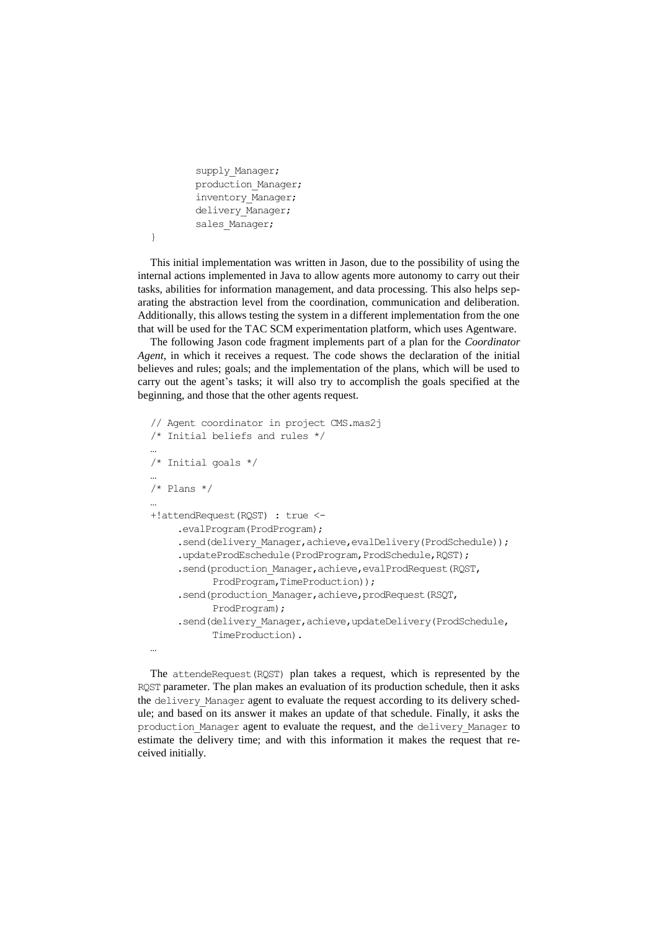```
supply Manager;
 production_Manager;
inventory Manager;
delivery Manager;
sales Manager;
```
}

This initial implementation was written in Jason, due to the possibility of using the internal actions implemented in Java to allow agents more autonomy to carry out their tasks, abilities for information management, and data processing. This also helps separating the abstraction level from the coordination, communication and deliberation. Additionally, this allows testing the system in a different implementation from the one that will be used for the TAC SCM experimentation platform, which uses Agentware.

The following Jason code fragment implements part of a plan for the *Coordinator Agent*, in which it receives a request. The code shows the declaration of the initial believes and rules; goals; and the implementation of the plans, which will be used to carry out the agent's tasks; it will also try to accomplish the goals specified at the beginning, and those that the other agents request.

```
// Agent coordinator in project CMS.mas2j
/* Initial beliefs and rules */
…
/* Initial goals */
…
/* Plans */…
+!attendRequest(RQST) : true <-
     .evalProgram(ProdProgram);
     .send(delivery Manager,achieve,evalDelivery(ProdSchedule));
     .updateProdEschedule(ProdProgram,ProdSchedule,RQST);
     .send(production Manager,achieve,evalProdRequest(RQST,
           ProdProgram, TimeProduction) ) ;
     .send(production Manager,achieve,prodRequest(RSQT,
            ProdProgram);
     .send(delivery Manager,achieve,updateDelivery(ProdSchedule,
            TimeProduction).
…
```
The attendeRequest(RQST) plan takes a request, which is represented by the RQST parameter. The plan makes an evaluation of its production schedule, then it asks the delivery Manager agent to evaluate the request according to its delivery schedule; and based on its answer it makes an update of that schedule. Finally, it asks the production\_Manager agent to evaluate the request, and the delivery\_Manager to estimate the delivery time; and with this information it makes the request that received initially.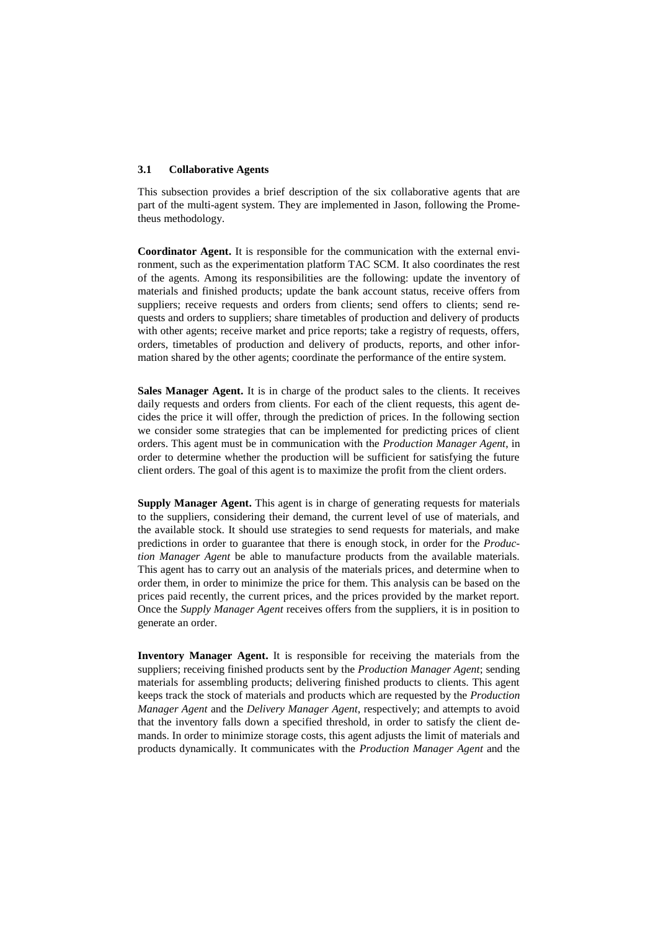#### **3.1 Collaborative Agents**

This subsection provides a brief description of the six collaborative agents that are part of the multi-agent system. They are implemented in Jason, following the Prometheus methodology.

**Coordinator Agent.** It is responsible for the communication with the external environment, such as the experimentation platform TAC SCM. It also coordinates the rest of the agents. Among its responsibilities are the following: update the inventory of materials and finished products; update the bank account status, receive offers from suppliers; receive requests and orders from clients; send offers to clients; send requests and orders to suppliers; share timetables of production and delivery of products with other agents; receive market and price reports; take a registry of requests, offers, orders, timetables of production and delivery of products, reports, and other information shared by the other agents; coordinate the performance of the entire system.

**Sales Manager Agent.** It is in charge of the product sales to the clients. It receives daily requests and orders from clients. For each of the client requests, this agent decides the price it will offer, through the prediction of prices. In the following section we consider some strategies that can be implemented for predicting prices of client orders. This agent must be in communication with the *Production Manager Agent*, in order to determine whether the production will be sufficient for satisfying the future client orders. The goal of this agent is to maximize the profit from the client orders.

**Supply Manager Agent.** This agent is in charge of generating requests for materials to the suppliers, considering their demand, the current level of use of materials, and the available stock. It should use strategies to send requests for materials, and make predictions in order to guarantee that there is enough stock, in order for the *Production Manager Agent* be able to manufacture products from the available materials. This agent has to carry out an analysis of the materials prices, and determine when to order them, in order to minimize the price for them. This analysis can be based on the prices paid recently, the current prices, and the prices provided by the market report. Once the *Supply Manager Agent* receives offers from the suppliers, it is in position to generate an order.

**Inventory Manager Agent.** It is responsible for receiving the materials from the suppliers; receiving finished products sent by the *Production Manager Agent*; sending materials for assembling products; delivering finished products to clients. This agent keeps track the stock of materials and products which are requested by the *Production Manager Agent* and the *Delivery Manager Agent*, respectively; and attempts to avoid that the inventory falls down a specified threshold, in order to satisfy the client demands. In order to minimize storage costs, this agent adjusts the limit of materials and products dynamically. It communicates with the *Production Manager Agent* and the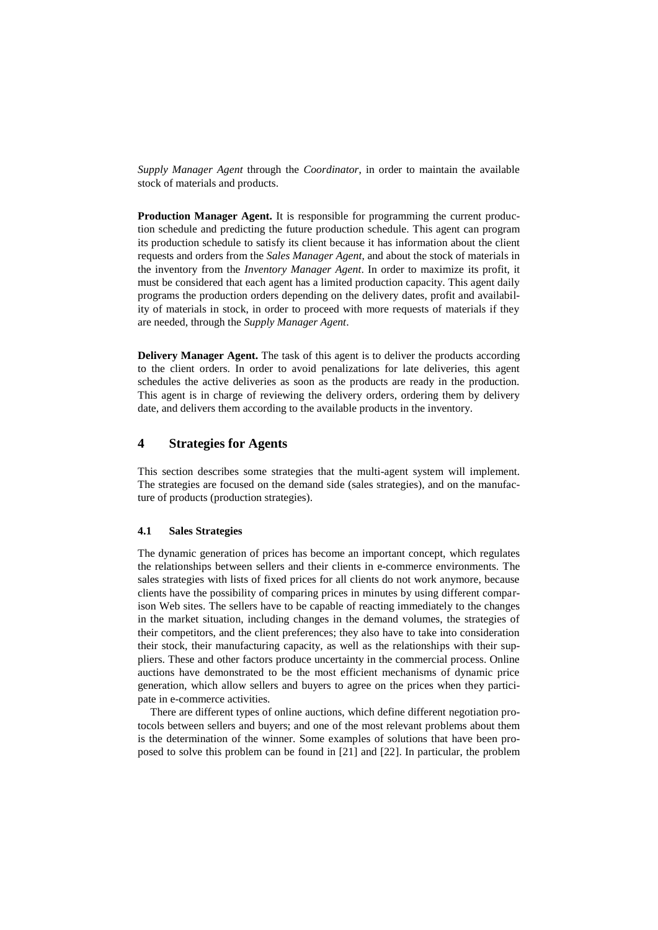*Supply Manager Agent* through the *Coordinator*, in order to maintain the available stock of materials and products.

**Production Manager Agent.** It is responsible for programming the current production schedule and predicting the future production schedule. This agent can program its production schedule to satisfy its client because it has information about the client requests and orders from the *Sales Manager Agent*, and about the stock of materials in the inventory from the *Inventory Manager Agent*. In order to maximize its profit, it must be considered that each agent has a limited production capacity. This agent daily programs the production orders depending on the delivery dates, profit and availability of materials in stock, in order to proceed with more requests of materials if they are needed, through the *Supply Manager Agent*.

**Delivery Manager Agent.** The task of this agent is to deliver the products according to the client orders. In order to avoid penalizations for late deliveries, this agent schedules the active deliveries as soon as the products are ready in the production. This agent is in charge of reviewing the delivery orders, ordering them by delivery date, and delivers them according to the available products in the inventory.

# **4 Strategies for Agents**

This section describes some strategies that the multi-agent system will implement. The strategies are focused on the demand side (sales strategies), and on the manufacture of products (production strategies).

## **4.1 Sales Strategies**

The dynamic generation of prices has become an important concept, which regulates the relationships between sellers and their clients in e-commerce environments. The sales strategies with lists of fixed prices for all clients do not work anymore, because clients have the possibility of comparing prices in minutes by using different comparison Web sites. The sellers have to be capable of reacting immediately to the changes in the market situation, including changes in the demand volumes, the strategies of their competitors, and the client preferences; they also have to take into consideration their stock, their manufacturing capacity, as well as the relationships with their suppliers. These and other factors produce uncertainty in the commercial process. Online auctions have demonstrated to be the most efficient mechanisms of dynamic price generation, which allow sellers and buyers to agree on the prices when they participate in e-commerce activities.

There are different types of online auctions, which define different negotiation protocols between sellers and buyers; and one of the most relevant problems about them is the determination of the winner. Some examples of solutions that have been proposed to solve this problem can be found in [21] and [22]. In particular, the problem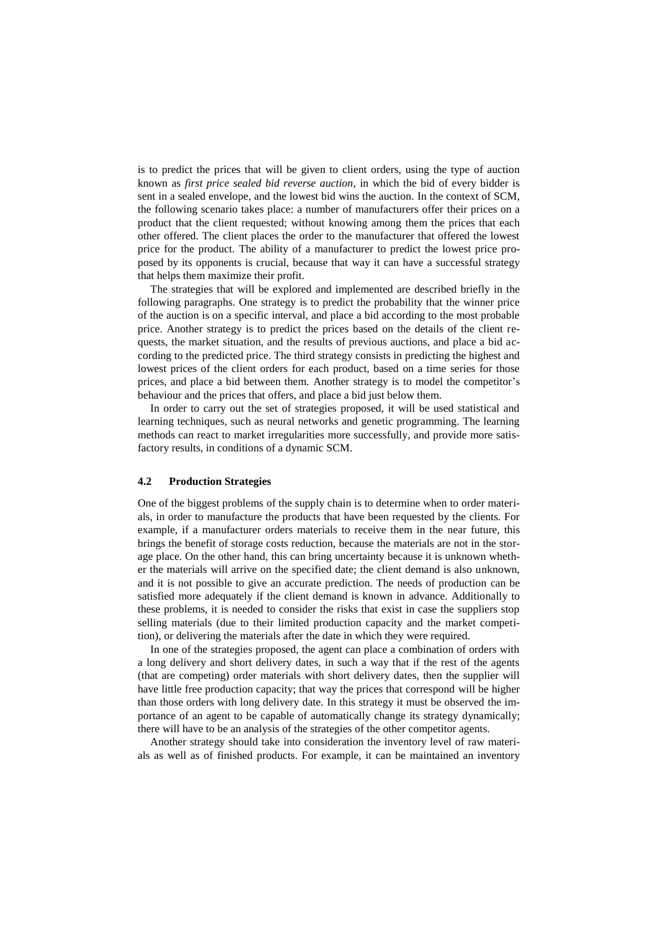is to predict the prices that will be given to client orders, using the type of auction known as *first price sealed bid reverse auction*, in which the bid of every bidder is sent in a sealed envelope, and the lowest bid wins the auction. In the context of SCM, the following scenario takes place: a number of manufacturers offer their prices on a product that the client requested; without knowing among them the prices that each other offered. The client places the order to the manufacturer that offered the lowest price for the product. The ability of a manufacturer to predict the lowest price proposed by its opponents is crucial, because that way it can have a successful strategy that helps them maximize their profit.

The strategies that will be explored and implemented are described briefly in the following paragraphs. One strategy is to predict the probability that the winner price of the auction is on a specific interval, and place a bid according to the most probable price. Another strategy is to predict the prices based on the details of the client requests, the market situation, and the results of previous auctions, and place a bid according to the predicted price. The third strategy consists in predicting the highest and lowest prices of the client orders for each product, based on a time series for those prices, and place a bid between them. Another strategy is to model the competitor's behaviour and the prices that offers, and place a bid just below them.

In order to carry out the set of strategies proposed, it will be used statistical and learning techniques, such as neural networks and genetic programming. The learning methods can react to market irregularities more successfully, and provide more satisfactory results, in conditions of a dynamic SCM.

### **4.2 Production Strategies**

One of the biggest problems of the supply chain is to determine when to order materials, in order to manufacture the products that have been requested by the clients. For example, if a manufacturer orders materials to receive them in the near future, this brings the benefit of storage costs reduction, because the materials are not in the storage place. On the other hand, this can bring uncertainty because it is unknown whether the materials will arrive on the specified date; the client demand is also unknown, and it is not possible to give an accurate prediction. The needs of production can be satisfied more adequately if the client demand is known in advance. Additionally to these problems, it is needed to consider the risks that exist in case the suppliers stop selling materials (due to their limited production capacity and the market competition), or delivering the materials after the date in which they were required.

In one of the strategies proposed, the agent can place a combination of orders with a long delivery and short delivery dates, in such a way that if the rest of the agents (that are competing) order materials with short delivery dates, then the supplier will have little free production capacity; that way the prices that correspond will be higher than those orders with long delivery date. In this strategy it must be observed the importance of an agent to be capable of automatically change its strategy dynamically; there will have to be an analysis of the strategies of the other competitor agents.

Another strategy should take into consideration the inventory level of raw materials as well as of finished products. For example, it can be maintained an inventory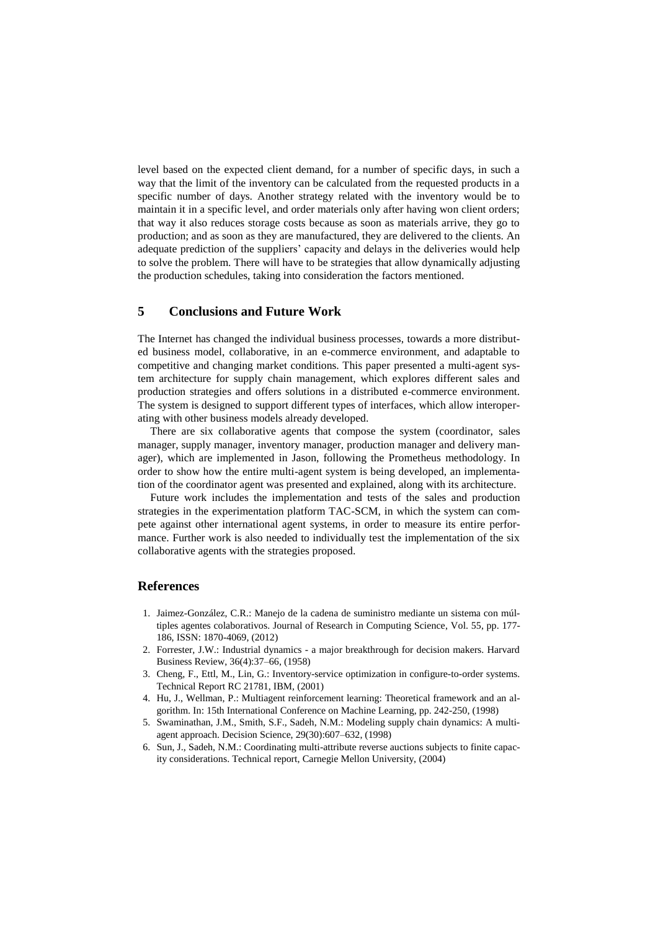level based on the expected client demand, for a number of specific days, in such a way that the limit of the inventory can be calculated from the requested products in a specific number of days. Another strategy related with the inventory would be to maintain it in a specific level, and order materials only after having won client orders; that way it also reduces storage costs because as soon as materials arrive, they go to production; and as soon as they are manufactured, they are delivered to the clients. An adequate prediction of the suppliers' capacity and delays in the deliveries would help to solve the problem. There will have to be strategies that allow dynamically adjusting the production schedules, taking into consideration the factors mentioned.

# **5 Conclusions and Future Work**

The Internet has changed the individual business processes, towards a more distributed business model, collaborative, in an e-commerce environment, and adaptable to competitive and changing market conditions. This paper presented a multi-agent system architecture for supply chain management, which explores different sales and production strategies and offers solutions in a distributed e-commerce environment. The system is designed to support different types of interfaces, which allow interoperating with other business models already developed.

There are six collaborative agents that compose the system (coordinator, sales manager, supply manager, inventory manager, production manager and delivery manager), which are implemented in Jason, following the Prometheus methodology. In order to show how the entire multi-agent system is being developed, an implementation of the coordinator agent was presented and explained, along with its architecture.

Future work includes the implementation and tests of the sales and production strategies in the experimentation platform TAC-SCM, in which the system can compete against other international agent systems, in order to measure its entire performance. Further work is also needed to individually test the implementation of the six collaborative agents with the strategies proposed.

# **References**

- 1. Jaimez-González, C.R.: Manejo de la cadena de suministro mediante un sistema con múltiples agentes colaborativos. Journal of Research in Computing Science, Vol. 55, pp. 177- 186, ISSN: 1870-4069, (2012)
- 2. Forrester, J.W.: Industrial dynamics a major breakthrough for decision makers. Harvard Business Review, 36(4):37–66, (1958)
- 3. Cheng, F., Ettl, M., Lin, G.: Inventory-service optimization in configure-to-order systems. Technical Report RC 21781, IBM, (2001)
- 4. Hu, J., Wellman, P.: Multiagent reinforcement learning: Theoretical framework and an algorithm. In: 15th International Conference on Machine Learning, pp. 242-250, (1998)
- 5. Swaminathan, J.M., Smith, S.F., Sadeh, N.M.: Modeling supply chain dynamics: A multiagent approach. Decision Science, 29(30):607–632, (1998)
- 6. Sun, J., Sadeh, N.M.: Coordinating multi-attribute reverse auctions subjects to finite capacity considerations. Technical report, Carnegie Mellon University, (2004)